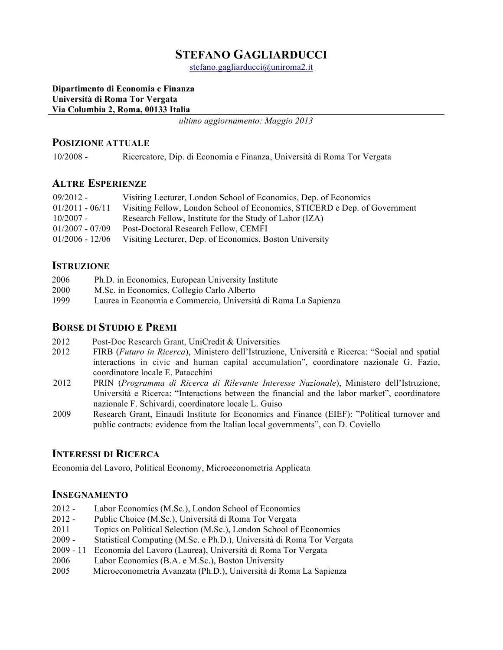# **STEFANO GAGLIARDUCCI**

stefano.gagliarducci@uniroma2.it

#### **Dipartimento di Economia e Finanza Università di Roma Tor Vergata Via Columbia 2, Roma, 00133 Italia**

*ultimo aggiornamento: Maggio 2013*

#### **POSIZIONE ATTUALE**

10/2008 - Ricercatore, Dip. di Economia e Finanza, Università di Roma Tor Vergata

#### **ALTRE ESPERIENZE**

| $09/2012 -$       | Visiting Lecturer, London School of Economics, Dep. of Economics          |
|-------------------|---------------------------------------------------------------------------|
| $01/2011 - 06/11$ | Visiting Fellow, London School of Economics, STICERD e Dep. of Government |
| $10/2007 -$       | Research Fellow, Institute for the Study of Labor (IZA)                   |
| $01/2007 - 07/09$ | Post-Doctoral Research Fellow, CEMFI                                      |
| $01/2006 - 12/06$ | Visiting Lecturer, Dep. of Economics, Boston University                   |
|                   |                                                                           |

# **ISTRUZIONE**

| 2006 | Ph.D. in Economics, European University Institute              |
|------|----------------------------------------------------------------|
| 2000 | M.Sc. in Economics, Collegio Carlo Alberto                     |
| 1999 | Laurea in Economia e Commercio, Università di Roma La Sapienza |

### **BORSE DI STUDIO E PREMI**

- 2012 Post-Doc Research Grant, UniCredit & Universities
- 2012 FIRB (*Futuro in Ricerca*), Ministero dell'Istruzione, Università e Ricerca: "Social and spatial interactions in civic and human capital accumulation", coordinatore nazionale G. Fazio, coordinatore locale E. Patacchini
- 2012 PRIN (*Programma di Ricerca di Rilevante Interesse Nazionale*), Ministero dell'Istruzione, Università e Ricerca: "Interactions between the financial and the labor market", coordinatore nazionale F. Schivardi, coordinatore locale L. Guiso
- 2009 Research Grant, Einaudi Institute for Economics and Finance (EIEF): "Political turnover and public contracts: evidence from the Italian local governments", con D. Coviello

### **INTERESSI DI RICERCA**

Economia del Lavoro, Political Economy, Microeconometria Applicata

### **INSEGNAMENTO**

- 2012 Labor Economics (M.Sc.), London School of Economics
- 2012 Public Choice (M.Sc.), Università di Roma Tor Vergata
- 2011 Topics on Political Selection (M.Sc.), London School of Economics
- 2009 Statistical Computing (M.Sc. e Ph.D.), Università di Roma Tor Vergata
- 2009 11 Economia del Lavoro (Laurea), Università di Roma Tor Vergata
- 2006 Labor Economics (B.A. e M.Sc.), Boston University
- 2005 Microeconometria Avanzata (Ph.D.), Università di Roma La Sapienza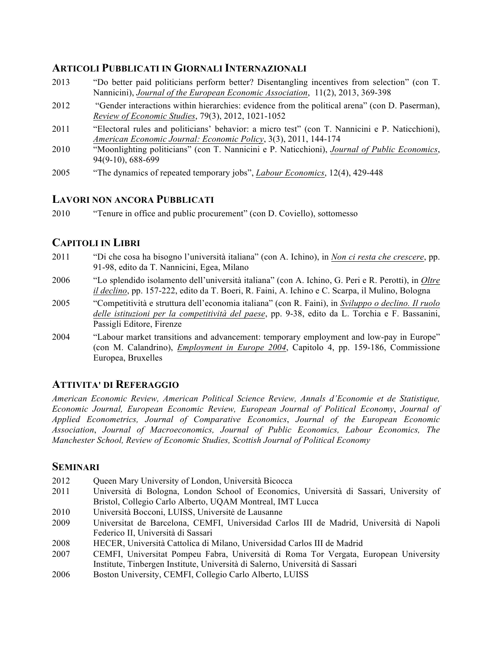### **ARTICOLI PUBBLICATI IN GIORNALI INTERNAZIONALI**

- 2013 "Do better paid politicians perform better? Disentangling incentives from selection" (con T. Nannicini), *Journal of the European Economic Association*, 11(2), 2013, 369-398
- 2012 "Gender interactions within hierarchies: evidence from the political arena" (con D. Paserman), *Review of Economic Studies*, 79(3), 2012, 1021-1052
- 2011 "Electoral rules and politicians' behavior: a micro test" (con T. Nannicini e P. Naticchioni), *American Economic Journal: Economic Policy*, 3(3), 2011, 144-174
- 2010 "Moonlighting politicians" (con T. Nannicini e P. Naticchioni), *Journal of Public Economics*, 94(9-10), 688-699
- 2005 "The dynamics of repeated temporary jobs", *Labour Economics*, 12(4), 429-448

# **LAVORI NON ANCORA PUBBLICATI**

2010 "Tenure in office and public procurement" (con D. Coviello), sottomesso

# **CAPITOLI IN LIBRI**

- 2011 "Di che cosa ha bisogno l'università italiana" (con A. Ichino), in *Non ci resta che crescere*, pp. 91-98, edito da T. Nannicini, Egea, Milano
- 2006 "Lo splendido isolamento dell'università italiana" (con A. Ichino, G. Peri e R. Perotti), in *Oltre il declino*, pp. 157-222, edito da T. Boeri, R. Faini, A. Ichino e C. Scarpa, il Mulino, Bologna
- 2005 "Competitività e struttura dell'economia italiana" (con R. Faini), in *Sviluppo o declino. Il ruolo delle istituzioni per la competitività del paese*, pp. 9-38, edito da L. Torchia e F. Bassanini, Passigli Editore, Firenze
- 2004 "Labour market transitions and advancement: temporary employment and low-pay in Europe" (con M. Calandrino), *Employment in Europe 2004*, Capitolo 4, pp. 159-186, Commissione Europea, Bruxelles

# **ATTIVITA' DI REFERAGGIO**

*American Economic Review, American Political Science Review, Annals d'Economie et de Statistique, Economic Journal, European Economic Review, European Journal of Political Economy*, *Journal of Applied Econometrics, Journal of Comparative Economics*, *Journal of the European Economic Association*, *Journal of Macroeconomics, Journal of Public Economics, Labour Economics, The Manchester School, Review of Economic Studies, Scottish Journal of Political Economy*

# **SEMINARI**

- 2012 Queen Mary University of London, Università Bicocca
- 2011 Università di Bologna, London School of Economics, Università di Sassari, University of Bristol, Collegio Carlo Alberto, UQAM Montreal, IMT Lucca
- 2010 Università Bocconi, LUISS, Universitė de Lausanne
- 2009 Universitat de Barcelona, CEMFI, Universidad Carlos III de Madrid, Università di Napoli Federico II, Università di Sassari
- 2008 HECER, Università Cattolica di Milano, Universidad Carlos III de Madrid
- 2007 CEMFI, Universitat Pompeu Fabra, Università di Roma Tor Vergata, European University Institute, Tinbergen Institute, Università di Salerno, Università di Sassari
- 2006 Boston University, CEMFI, Collegio Carlo Alberto, LUISS